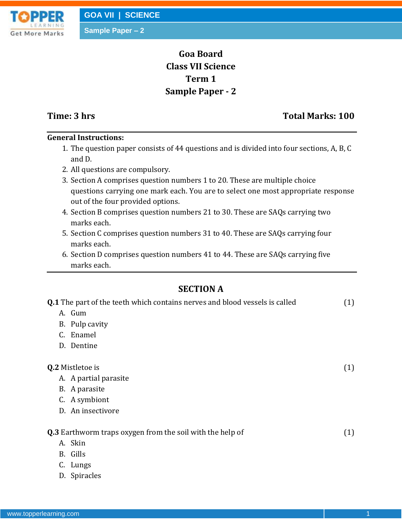**Sample Paper – 2**

# **Goa Board Class VII Science Term 1 Sample Paper - 2**

## **Time: 3 hrs** Total Marks: 100

### **General Instructions:**

- 1. The question paper consists of 44 questions and is divided into four sections, A, B, C and D.
- 2. All questions are compulsory.
- 3. Section A comprises question numbers 1 to 20. These are multiple choice questions carrying one mark each. You are to select one most appropriate response out of the four provided options.
- 4. Section B comprises question numbers 21 to 30. These are SAQs carrying two marks each.
- 5. Section C comprises question numbers 31 to 40. These are SAQs carrying four marks each.
- 6. Section D comprises question numbers 41 to 44. These are SAQs carrying five marks each.

## **SECTION A**

| <b>Q.1</b> The part of the teeth which contains nerves and blood vessels is called | (1) |
|------------------------------------------------------------------------------------|-----|
| A. Gum                                                                             |     |
| B. Pulp cavity                                                                     |     |
| Enamel<br>C.                                                                       |     |
| D. Dentine                                                                         |     |
|                                                                                    |     |
| Q.2 Mistletoe is                                                                   | (1) |
| A. A partial parasite                                                              |     |
| B. A parasite                                                                      |     |
| C. A symbiont                                                                      |     |
| D. An insectivore                                                                  |     |
|                                                                                    |     |
| <b>Q.3</b> Earthworm traps oxygen from the soil with the help of                   | (1) |
| A. Skin                                                                            |     |
| B. Gills                                                                           |     |
| C. Lungs                                                                           |     |
| D. Spiracles                                                                       |     |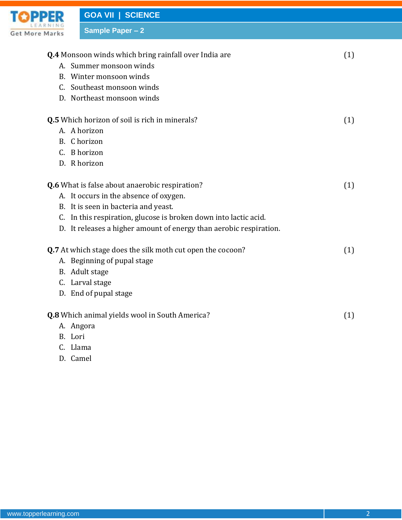

**Sample Paper – 2**

**Q.4** Monsoon winds which bring rainfall over India are (1) A. Summer monsoon winds B. Winter monsoon winds C. Southeast monsoon winds D. Northeast monsoon winds **Q.5** Which horizon of soil is rich in minerals? (1) A. A horizon B. C horizon C. B horizon D. R horizon **Q.6** What is false about anaerobic respiration? (1) A. It occurs in the absence of oxygen. B. It is seen in bacteria and yeast. C. In this respiration, glucose is broken down into lactic acid. D. It releases a higher amount of energy than aerobic respiration. **Q.7** At which stage does the silk moth cut open the cocoon? (1) A. Beginning of pupal stage B. Adult stage C. Larval stage D. End of pupal stage **Q.8** Which animal yields wool in South America? (1) A. Angora B. Lori

- C. Llama
- D. Camel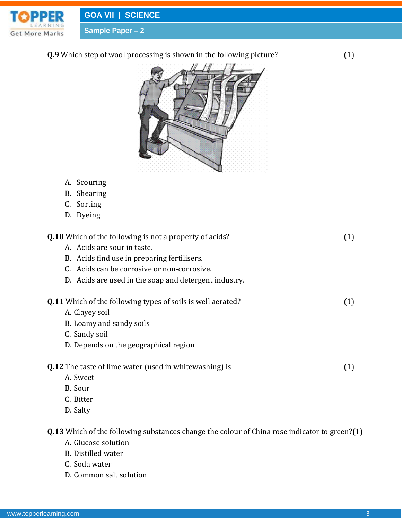

**GOA VII | SCIENCE**

**Sample Paper – 2**

**Q.9** Which step of wool processing is shown in the following picture? (1)



- A. Scouring
- B. Shearing
- C. Sorting
- D. Dyeing

| <b>Q.10</b> Which of the following is not a property of acids?     | (1) |
|--------------------------------------------------------------------|-----|
| A. Acids are sour in taste.                                        |     |
| B. Acids find use in preparing fertilisers.                        |     |
| C. Acids can be corrosive or non-corrosive.                        |     |
| D. Acids are used in the soap and detergent industry.              |     |
| <b>Q.11</b> Which of the following types of soils is well aerated? | (1) |
| A. Clayey soil                                                     |     |
| B. Loamy and sandy soils                                           |     |
| C. Sandy soil                                                      |     |
| D. Depends on the geographical region                              |     |
| <b>Q.12</b> The taste of lime water (used in whitewashing) is      | (1) |
| A. Sweet                                                           |     |
| B. Sour                                                            |     |
| C. Bitter                                                          |     |
| D. Salty                                                           |     |
|                                                                    |     |

**Q.13** Which of the following substances change the colour of China rose indicator to green?(1)

- A. Glucose solution
- B. Distilled water
- C. Soda water
- D. Common salt solution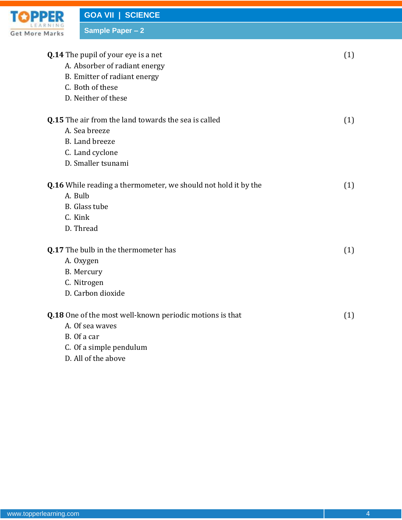

**GOA VII | SCIENCE**

**Sample Paper – 2**

| <b>Q.14</b> The pupil of your eye is a net<br>A. Absorber of radiant energy<br>B. Emitter of radiant energy<br>C. Both of these<br>D. Neither of these | (1) |
|--------------------------------------------------------------------------------------------------------------------------------------------------------|-----|
| <b>Q.15</b> The air from the land towards the sea is called<br>A. Sea breeze<br>B. Land breeze<br>C. Land cyclone<br>D. Smaller tsunami                | (1) |
| <b>Q.16</b> While reading a thermometer, we should not hold it by the<br>A. Bulb<br>B. Glass tube<br>C. Kink<br>D. Thread                              | (1) |
| Q.17 The bulb in the thermometer has<br>A. Oxygen<br>B. Mercury<br>C. Nitrogen<br>D. Carbon dioxide                                                    | (1) |
| Q.18 One of the most well-known periodic motions is that<br>A. Of sea waves<br>B. Of a car<br>C. Of a simple pendulum<br>D. All of the above           | (1) |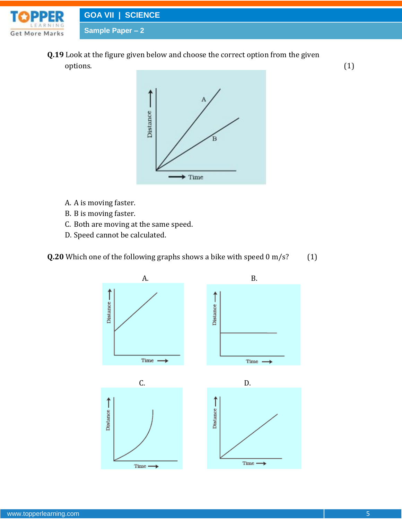

**Q.19** Look at the figure given below and choose the correct option from the given  $\text{options.} \tag{1}$ 



- A. A is moving faster.
- B. B is moving faster.
- C. Both are moving at the same speed.
- D. Speed cannot be calculated.



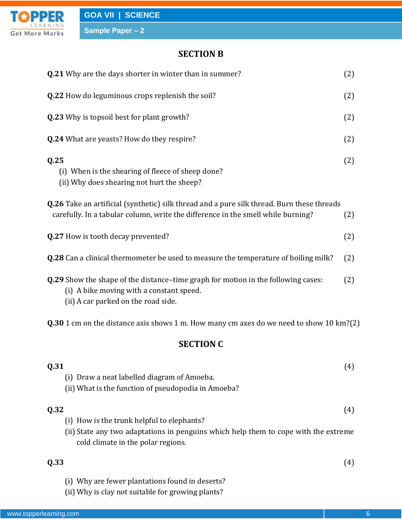

| <b>Q.21</b> Why are the days shorter in winter than in summer?                                                                                                                        | (2) |
|---------------------------------------------------------------------------------------------------------------------------------------------------------------------------------------|-----|
| Q.22 How do leguminous crops replenish the soil?                                                                                                                                      | (2) |
| <b>Q.23</b> Why is topsoil best for plant growth?                                                                                                                                     | (2) |
| <b>Q.24</b> What are yeasts? How do they respire?                                                                                                                                     | (2) |
| Q.25<br>(i) When is the shearing of fleece of sheep done?<br>(ii) Why does shearing not hurt the sheep?                                                                               | (2) |
| <b>Q.26</b> Take an artificial (synthetic) silk thread and a pure silk thread. Burn these threads<br>carefully. In a tabular column, write the difference in the smell while burning? | (2) |
| Q.27 How is tooth decay prevented?                                                                                                                                                    | (2) |
| <b>Q.28</b> Can a clinical thermometer be used to measure the temperature of boiling milk?                                                                                            | (2) |
| Q.29 Show the shape of the distance-time graph for motion in the following cases:<br>(i) A bike moving with a constant speed.<br>(ii) A car parked on the road side.                  | (2) |
| <b>Q.30</b> 1 cm on the distance axis shows 1 m. How many cm axes do we need to show 10 km?(2)                                                                                        |     |
| <b>SECTION C</b>                                                                                                                                                                      |     |
| Q.31<br>(i) Draw a neat labelled diagram of Amoeba.<br>(ii) What is the function of pseudopodia in Amoeba?                                                                            | (4) |
| Q.32<br>(i) How is the trunk helpful to elephants?<br>(ii) State any two adaptations in penguins which help them to cope with the extreme<br>cold climate in the polar regions.       | (4) |
| Q.33                                                                                                                                                                                  | (4) |
| (i) Why are fewer plantations found in deserts?                                                                                                                                       |     |

(ii) Why is clay not suitable for growing plants?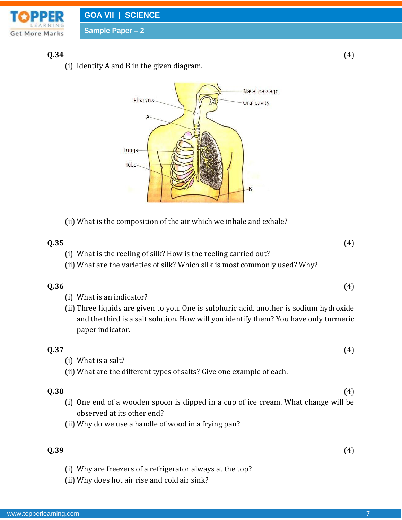

#### **Q.34** (4)

(i) Identify A and B in the given diagram.



(ii) What is the composition of the air which we inhale and exhale?

#### **Q.35** (4)

- (i) What is the reeling of silk? How is the reeling carried out?
- (ii) What are the varieties of silk? Which silk is most commonly used? Why?

#### **Q.36** (4)

- (i) What is an indicator?
- (ii) Three liquids are given to you. One is sulphuric acid, another is sodium hydroxide and the third is a salt solution. How will you identify them? You have only turmeric paper indicator.

#### **Q.37** (4)

- (i) What is a salt?
- (ii) What are the different types of salts? Give one example of each.

#### **Q.38** (4)

- (i) One end of a wooden spoon is dipped in a cup of ice cream. What change will be observed at its other end?
- (ii) Why do we use a handle of wood in a frying pan?

#### **Q.39** (4)

- (i) Why are freezers of a refrigerator always at the top?
- (ii) Why does hot air rise and cold air sink?